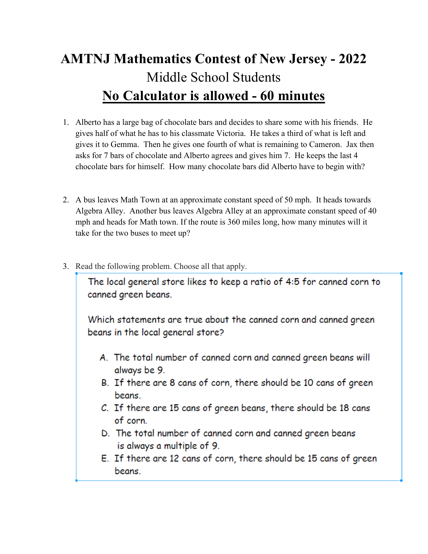## **AMTNJ Mathematics Contest of New Jersey - 2022**  Middle School Students **No Calculator is allowed - 60 minutes**

- 1. Alberto has a large bag of chocolate bars and decides to share some with his friends. He gives half of what he has to his classmate Victoria. He takes a third of what is left and gives it to Gemma. Then he gives one fourth of what is remaining to Cameron. Jax then asks for 7 bars of chocolate and Alberto agrees and gives him 7. He keeps the last 4 chocolate bars for himself. How many chocolate bars did Alberto have to begin with?
- 2. A bus leaves Math Town at an approximate constant speed of 50 mph. It heads towards Algebra Alley. Another bus leaves Algebra Alley at an approximate constant speed of 40 mph and heads for Math town. If the route is 360 miles long, how many minutes will it take for the two buses to meet up?
- 3. Read the following problem. Choose all that apply.

The local general store likes to keep a ratio of 4:5 for canned corn to canned green beans.

Which statements are true about the canned corn and canned green beans in the local general store?

- A. The total number of canned corn and canned green beans will always be 9.
- B. If there are 8 cans of corn, there should be 10 cans of green beans.
- C. If there are 15 cans of green beans, there should be 18 cans of corn.
- D. The total number of canned corn and canned green beans is always a multiple of 9.
- E. If there are 12 cans of corn, there should be 15 cans of green beans.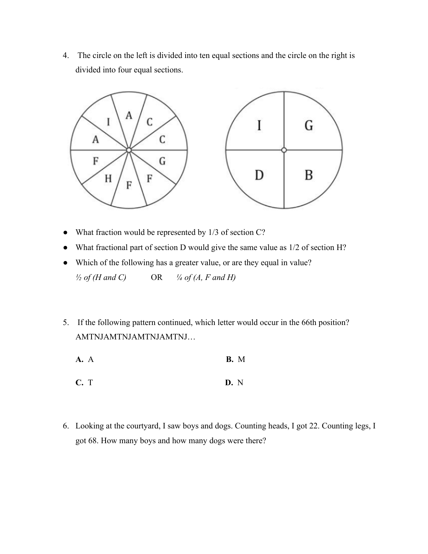4. The circle on the left is divided into ten equal sections and the circle on the right is divided into four equal sections.



- What fraction would be represented by 1/3 of section C?
- What fractional part of section D would give the same value as 1/2 of section H?
- Which of the following has a greater value, or are they equal in value?  $\frac{1}{2}$  of (H and C) OR  $\frac{1}{4}$  of (A, F and H)
- 5. If the following pattern continued, which letter would occur in the 66th position? AMTNJAMTNJAMTNJ...
	- **A.** A **B.** M
	- **C.** T **D.** N
- 6. Looking at the courtyard, I saw boys and dogs. Counting heads, I got 22. Counting legs, I got 68. How many boys and how many dogs were there?